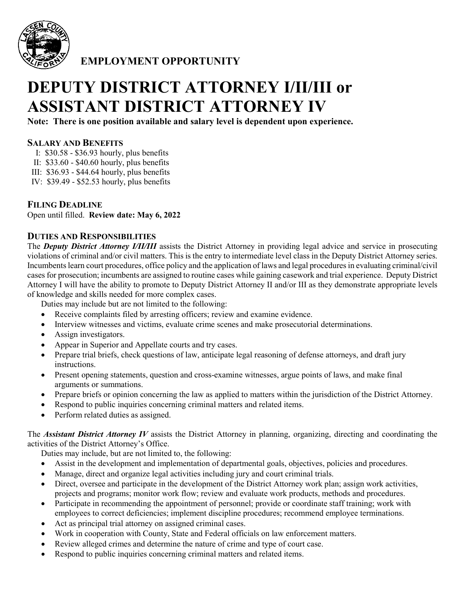

**EMPLOYMENT OPPORTUNITY**

# **DEPUTY DISTRICT ATTORNEY I/II/III or ASSISTANT DISTRICT ATTORNEY IV**

**Note: There is one position available and salary level is dependent upon experience.**

## **SALARY AND BENEFITS**

- I: \$30.58 \$36.93 hourly, plus benefits
- II: \$33.60 \$40.60 hourly, plus benefits
- III: \$36.93 \$44.64 hourly, plus benefits
- IV: \$39.49 \$52.53 hourly, plus benefits

# **FILING DEADLINE**

Open until filled. **Review date: May 6, 2022**

## **DUTIES AND RESPONSIBILITIES**

The *Deputy District Attorney I/II/III* assists the District Attorney in providing legal advice and service in prosecuting violations of criminal and/or civil matters. This is the entry to intermediate level class in the Deputy District Attorney series. Incumbents learn court procedures, office policy and the application of laws and legal procedures in evaluating criminal/civil cases for prosecution; incumbents are assigned to routine cases while gaining casework and trial experience. Deputy District Attorney I will have the ability to promote to Deputy District Attorney II and/or III as they demonstrate appropriate levels of knowledge and skills needed for more complex cases.

Duties may include but are not limited to the following:

- Receive complaints filed by arresting officers; review and examine evidence.
- Interview witnesses and victims, evaluate crime scenes and make prosecutorial determinations.
- Assign investigators.
- Appear in Superior and Appellate courts and try cases.
- Prepare trial briefs, check questions of law, anticipate legal reasoning of defense attorneys, and draft jury instructions.
- Present opening statements, question and cross-examine witnesses, argue points of laws, and make final arguments or summations.
- Prepare briefs or opinion concerning the law as applied to matters within the jurisdiction of the District Attorney.
- Respond to public inquiries concerning criminal matters and related items.
- Perform related duties as assigned.

The *Assistant District Attorney IV* assists the District Attorney in planning, organizing, directing and coordinating the activities of the District Attorney's Office.

Duties may include, but are not limited to, the following:

- Assist in the development and implementation of departmental goals, objectives, policies and procedures.
- Manage, direct and organize legal activities including jury and court criminal trials.
- Direct, oversee and participate in the development of the District Attorney work plan; assign work activities, projects and programs; monitor work flow; review and evaluate work products, methods and procedures.
- Participate in recommending the appointment of personnel; provide or coordinate staff training; work with employees to correct deficiencies; implement discipline procedures; recommend employee terminations.
- Act as principal trial attorney on assigned criminal cases.
- Work in cooperation with County, State and Federal officials on law enforcement matters.
- Review alleged crimes and determine the nature of crime and type of court case.
- Respond to public inquiries concerning criminal matters and related items.